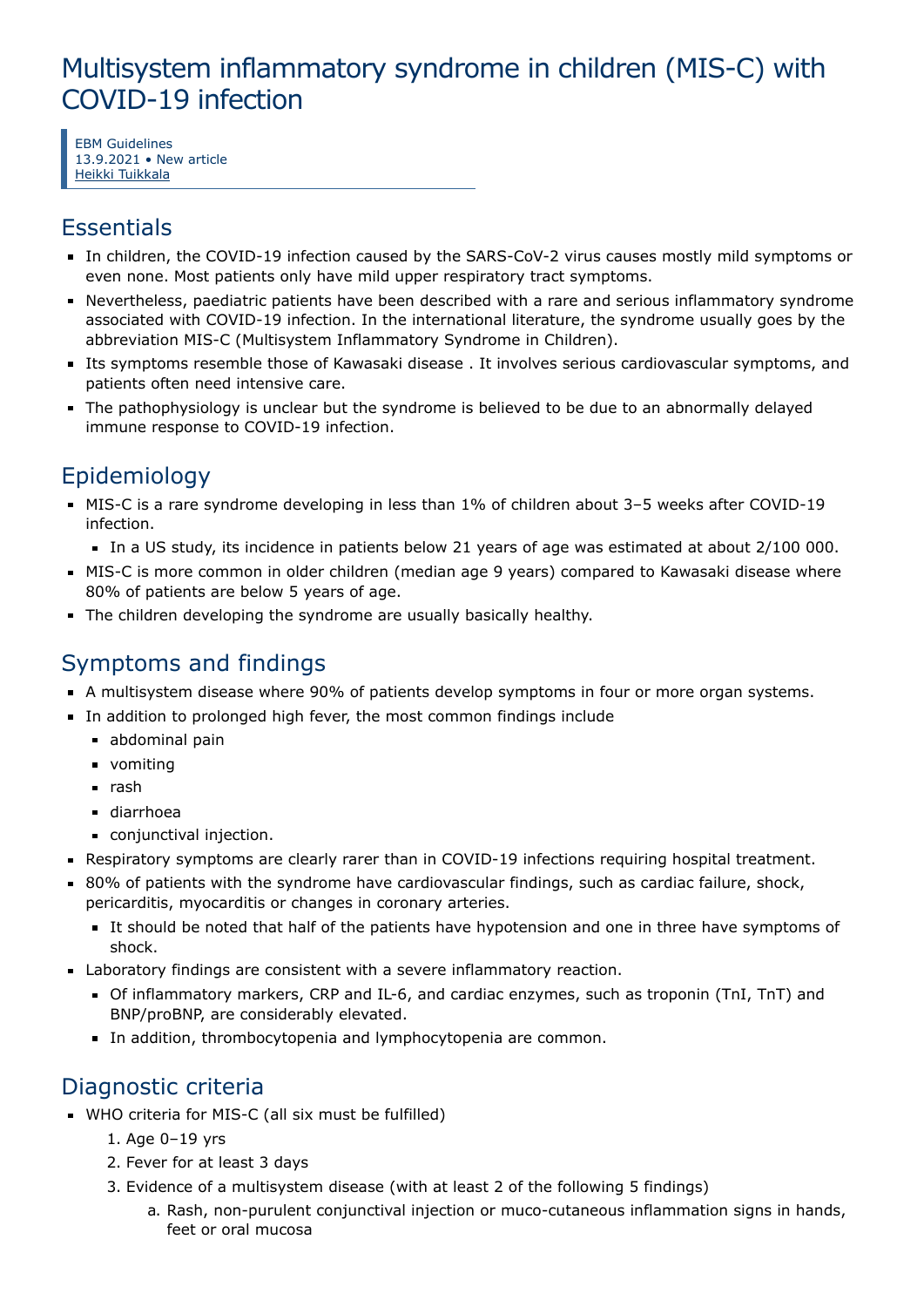# Multisystem inflammatory syndrome in children (MIS-C) with COVID-19 infection

EBM Guidelines 13.9.2021 • New article Heikki [Tuikkala](https://www.ebm-guidelines.com/dtk/ebmg/toimija?p_id=ap9m9)

### **Essentials**

- In children, the COVID-19 infection caused by the SARS-CoV-2 virus causes mostly mild symptoms or even none. Most patients only have mild upper respiratory tract symptoms.
- Nevertheless, paediatric patients have been described with a rare and serious inflammatory syndrome associated with COVID-19 infection. In the international literature, the syndrome usually goes by the abbreviation MIS-C (Multisystem Inflammatory Syndrome in Children).
- Its symptoms resemble those of Kawasaki disease . It involves serious cardiovascular symptoms, and patients often need intensive care.
- The pathophysiology is unclear but the syndrome is believed to be due to an abnormally delayed immune response to COVID-19 infection.

# Epidemiology

- MIS-C is a rare syndrome developing in less than 1% of children about 3–5 weeks after COVID-19 infection.
	- In a US study, its incidence in patients below 21 years of age was estimated at about 2/100 000.
- MIS-C is more common in older children (median age 9 years) compared to Kawasaki disease where 80% of patients are below 5 years of age.
- The children developing the syndrome are usually basically healthy.

## Symptoms and findings

- A multisystem disease where 90% of patients develop symptoms in four or more organ systems.
- In addition to prolonged high fever, the most common findings include
	- abdominal pain
	- **vomiting**
	- $\blacksquare$  rash
	- diarrhoea
	- conjunctival injection.
- Respiratory symptoms are clearly rarer than in COVID-19 infections requiring hospital treatment.
- 80% of patients with the syndrome have cardiovascular findings, such as cardiac failure, shock, pericarditis, myocarditis or changes in coronary arteries.
	- It should be noted that half of the patients have hypotension and one in three have symptoms of shock.
- Laboratory findings are consistent with a severe inflammatory reaction.
	- Of inflammatory markers, CRP and IL-6, and cardiac enzymes, such as troponin (TnI, TnT) and BNP/proBNP, are considerably elevated.
	- In addition, thrombocytopenia and lymphocytopenia are common.

### Diagnostic criteria

- WHO criteria for MIS-C (all six must be fulfilled)
	- 1. Age 0–19 yrs
	- 2. Fever for at least 3 days
	- 3. Evidence of a multisystem disease (with at least 2 of the following 5 findings)
		- a. Rash, non-purulent conjunctival injection or muco-cutaneous inflammation signs in hands, feet or oral mucosa